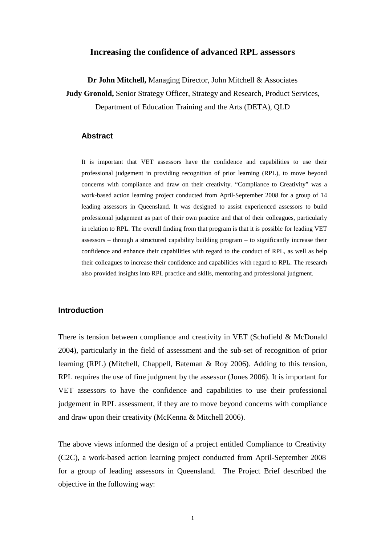### **Increasing the confidence of advanced RPL assessors**

**Dr John Mitchell,** Managing Director, John Mitchell & Associates

**Judy Gronold,** Senior Strategy Officer, Strategy and Research, Product Services,

Department of Education Training and the Arts (DETA), QLD

### **Abstract**

It is important that VET assessors have the confidence and capabilities to use their professional judgement in providing recognition of prior learning (RPL), to move beyond concerns with compliance and draw on their creativity. "Compliance to Creativity" was a work-based action learning project conducted from April-September 2008 for a group of 14 leading assessors in Queensland. It was designed to assist experienced assessors to build professional judgement as part of their own practice and that of their colleagues, particularly in relation to RPL. The overall finding from that program is that it is possible for leading VET assessors – through a structured capability building program – to significantly increase their confidence and enhance their capabilities with regard to the conduct of RPL, as well as help their colleagues to increase their confidence and capabilities with regard to RPL. The research also provided insights into RPL practice and skills, mentoring and professional judgment.

### **Introduction**

There is tension between compliance and creativity in VET (Schofield & McDonald 2004), particularly in the field of assessment and the sub-set of recognition of prior learning (RPL) (Mitchell, Chappell, Bateman & Roy 2006). Adding to this tension, RPL requires the use of fine judgment by the assessor (Jones 2006). It is important for VET assessors to have the confidence and capabilities to use their professional judgement in RPL assessment, if they are to move beyond concerns with compliance and draw upon their creativity (McKenna & Mitchell 2006).

The above views informed the design of a project entitled Compliance to Creativity (C2C), a work-based action learning project conducted from April-September 2008 for a group of leading assessors in Queensland. The Project Brief described the objective in the following way:

1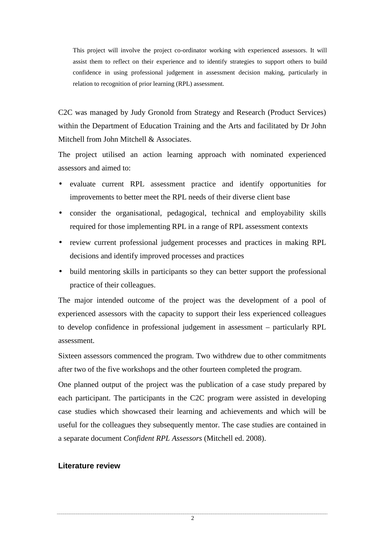This project will involve the project co-ordinator working with experienced assessors. It will assist them to reflect on their experience and to identify strategies to support others to build confidence in using professional judgement in assessment decision making, particularly in relation to recognition of prior learning (RPL) assessment.

C2C was managed by Judy Gronold from Strategy and Research (Product Services) within the Department of Education Training and the Arts and facilitated by Dr John Mitchell from John Mitchell & Associates.

The project utilised an action learning approach with nominated experienced assessors and aimed to:

- evaluate current RPL assessment practice and identify opportunities for improvements to better meet the RPL needs of their diverse client base
- consider the organisational, pedagogical, technical and employability skills required for those implementing RPL in a range of RPL assessment contexts
- review current professional judgement processes and practices in making RPL decisions and identify improved processes and practices
- build mentoring skills in participants so they can better support the professional practice of their colleagues.

The major intended outcome of the project was the development of a pool of experienced assessors with the capacity to support their less experienced colleagues to develop confidence in professional judgement in assessment – particularly RPL assessment.

Sixteen assessors commenced the program. Two withdrew due to other commitments after two of the five workshops and the other fourteen completed the program.

One planned output of the project was the publication of a case study prepared by each participant. The participants in the C2C program were assisted in developing case studies which showcased their learning and achievements and which will be useful for the colleagues they subsequently mentor. The case studies are contained in a separate document *Confident RPL Assessors* (Mitchell ed. 2008).

### **Literature review**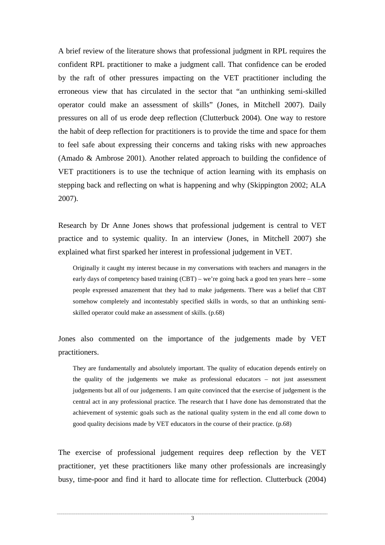A brief review of the literature shows that professional judgment in RPL requires the confident RPL practitioner to make a judgment call. That confidence can be eroded by the raft of other pressures impacting on the VET practitioner including the erroneous view that has circulated in the sector that "an unthinking semi-skilled operator could make an assessment of skills" (Jones, in Mitchell 2007). Daily pressures on all of us erode deep reflection (Clutterbuck 2004). One way to restore the habit of deep reflection for practitioners is to provide the time and space for them to feel safe about expressing their concerns and taking risks with new approaches (Amado & Ambrose 2001). Another related approach to building the confidence of VET practitioners is to use the technique of action learning with its emphasis on stepping back and reflecting on what is happening and why (Skippington 2002; ALA 2007).

Research by Dr Anne Jones shows that professional judgement is central to VET practice and to systemic quality. In an interview (Jones, in Mitchell 2007) she explained what first sparked her interest in professional judgement in VET.

Originally it caught my interest because in my conversations with teachers and managers in the early days of competency based training (CBT) – we're going back a good ten years here – some people expressed amazement that they had to make judgements. There was a belief that CBT somehow completely and incontestably specified skills in words, so that an unthinking semiskilled operator could make an assessment of skills. (p.68)

Jones also commented on the importance of the judgements made by VET practitioners.

They are fundamentally and absolutely important. The quality of education depends entirely on the quality of the judgements we make as professional educators – not just assessment judgements but all of our judgements. I am quite convinced that the exercise of judgement is the central act in any professional practice. The research that I have done has demonstrated that the achievement of systemic goals such as the national quality system in the end all come down to good quality decisions made by VET educators in the course of their practice. (p.68)

The exercise of professional judgement requires deep reflection by the VET practitioner, yet these practitioners like many other professionals are increasingly busy, time-poor and find it hard to allocate time for reflection. Clutterbuck (2004)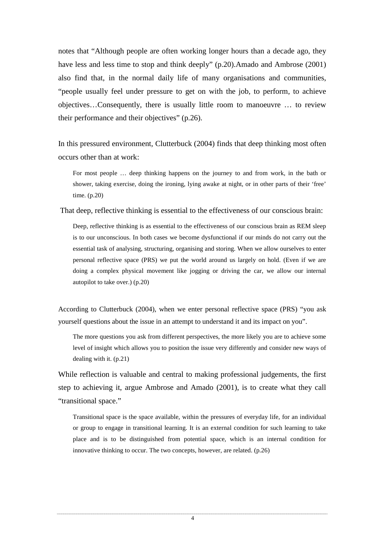notes that "Although people are often working longer hours than a decade ago, they have less and less time to stop and think deeply" (p.20).Amado and Ambrose (2001) also find that, in the normal daily life of many organisations and communities, "people usually feel under pressure to get on with the job, to perform, to achieve objectives…Consequently, there is usually little room to manoeuvre … to review their performance and their objectives" (p.26).

In this pressured environment, Clutterbuck (2004) finds that deep thinking most often occurs other than at work:

For most people … deep thinking happens on the journey to and from work, in the bath or shower, taking exercise, doing the ironing, lying awake at night, or in other parts of their 'free' time. (p.20)

That deep, reflective thinking is essential to the effectiveness of our conscious brain:

Deep, reflective thinking is as essential to the effectiveness of our conscious brain as REM sleep is to our unconscious. In both cases we become dysfunctional if our minds do not carry out the essential task of analysing, structuring, organising and storing. When we allow ourselves to enter personal reflective space (PRS) we put the world around us largely on hold. (Even if we are doing a complex physical movement like jogging or driving the car, we allow our internal autopilot to take over.) (p.20)

According to Clutterbuck (2004), when we enter personal reflective space (PRS) "you ask yourself questions about the issue in an attempt to understand it and its impact on you".

The more questions you ask from different perspectives, the more likely you are to achieve some level of insight which allows you to position the issue very differently and consider new ways of dealing with it. (p.21)

While reflection is valuable and central to making professional judgements, the first step to achieving it, argue Ambrose and Amado (2001), is to create what they call "transitional space."

Transitional space is the space available, within the pressures of everyday life, for an individual or group to engage in transitional learning. It is an external condition for such learning to take place and is to be distinguished from potential space, which is an internal condition for innovative thinking to occur. The two concepts, however, are related. (p.26)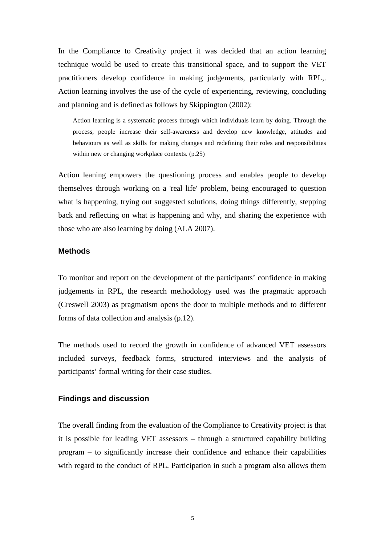In the Compliance to Creativity project it was decided that an action learning technique would be used to create this transitional space, and to support the VET practitioners develop confidence in making judgements, particularly with RPL,. Action learning involves the use of the cycle of experiencing, reviewing, concluding and planning and is defined as follows by Skippington (2002):

Action learning is a systematic process through which individuals learn by doing. Through the process, people increase their self-awareness and develop new knowledge, attitudes and behaviours as well as skills for making changes and redefining their roles and responsibilities within new or changing workplace contexts. (p.25)

Action leaning empowers the questioning process and enables people to develop themselves through working on a 'real life' problem, being encouraged to question what is happening, trying out suggested solutions, doing things differently, stepping back and reflecting on what is happening and why, and sharing the experience with those who are also learning by doing (ALA 2007).

## **Methods**

To monitor and report on the development of the participants' confidence in making judgements in RPL, the research methodology used was the pragmatic approach (Creswell 2003) as pragmatism opens the door to multiple methods and to different forms of data collection and analysis (p.12).

The methods used to record the growth in confidence of advanced VET assessors included surveys, feedback forms, structured interviews and the analysis of participants' formal writing for their case studies.

### **Findings and discussion**

The overall finding from the evaluation of the Compliance to Creativity project is that it is possible for leading VET assessors – through a structured capability building program – to significantly increase their confidence and enhance their capabilities with regard to the conduct of RPL. Participation in such a program also allows them

5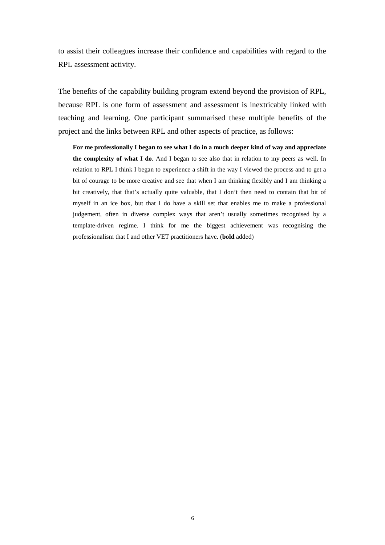to assist their colleagues increase their confidence and capabilities with regard to the RPL assessment activity.

The benefits of the capability building program extend beyond the provision of RPL, because RPL is one form of assessment and assessment is inextricably linked with teaching and learning. One participant summarised these multiple benefits of the project and the links between RPL and other aspects of practice, as follows:

**For me professionally I began to see what I do in a much deeper kind of way and appreciate the complexity of what I do**. And I began to see also that in relation to my peers as well. In relation to RPL I think I began to experience a shift in the way I viewed the process and to get a bit of courage to be more creative and see that when I am thinking flexibly and I am thinking a bit creatively, that that's actually quite valuable, that I don't then need to contain that bit of myself in an ice box, but that I do have a skill set that enables me to make a professional judgement, often in diverse complex ways that aren't usually sometimes recognised by a template-driven regime. I think for me the biggest achievement was recognising the professionalism that I and other VET practitioners have. (**bold** added)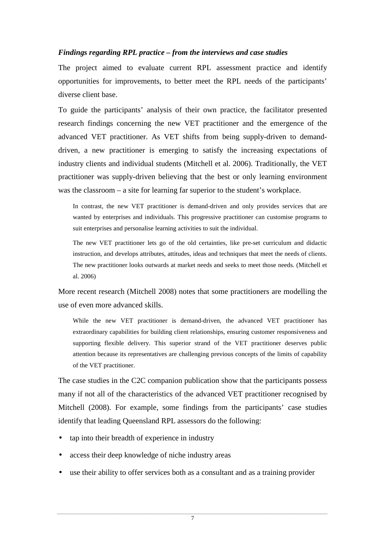### *Findings regarding RPL practice – from the interviews and case studies*

The project aimed to evaluate current RPL assessment practice and identify opportunities for improvements, to better meet the RPL needs of the participants' diverse client base.

To guide the participants' analysis of their own practice, the facilitator presented research findings concerning the new VET practitioner and the emergence of the advanced VET practitioner. As VET shifts from being supply-driven to demanddriven, a new practitioner is emerging to satisfy the increasing expectations of industry clients and individual students (Mitchell et al. 2006). Traditionally, the VET practitioner was supply-driven believing that the best or only learning environment was the classroom – a site for learning far superior to the student's workplace.

In contrast, the new VET practitioner is demand-driven and only provides services that are wanted by enterprises and individuals. This progressive practitioner can customise programs to suit enterprises and personalise learning activities to suit the individual.

The new VET practitioner lets go of the old certainties, like pre-set curriculum and didactic instruction, and develops attributes, attitudes, ideas and techniques that meet the needs of clients. The new practitioner looks outwards at market needs and seeks to meet those needs. (Mitchell et al. 2006)

More recent research (Mitchell 2008) notes that some practitioners are modelling the use of even more advanced skills.

While the new VET practitioner is demand-driven, the advanced VET practitioner has extraordinary capabilities for building client relationships, ensuring customer responsiveness and supporting flexible delivery. This superior strand of the VET practitioner deserves public attention because its representatives are challenging previous concepts of the limits of capability of the VET practitioner.

The case studies in the C2C companion publication show that the participants possess many if not all of the characteristics of the advanced VET practitioner recognised by Mitchell (2008). For example, some findings from the participants' case studies identify that leading Queensland RPL assessors do the following:

- tap into their breadth of experience in industry
- access their deep knowledge of niche industry areas
- use their ability to offer services both as a consultant and as a training provider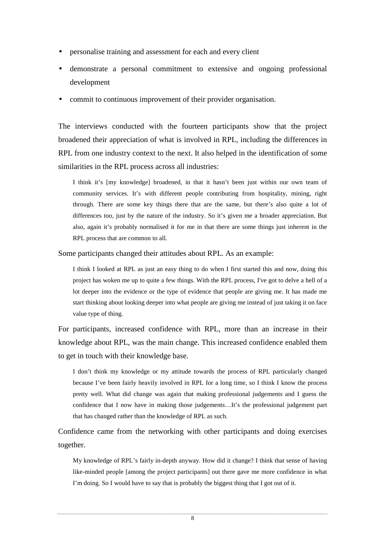- personalise training and assessment for each and every client
- demonstrate a personal commitment to extensive and ongoing professional development
- commit to continuous improvement of their provider organisation.

The interviews conducted with the fourteen participants show that the project broadened their appreciation of what is involved in RPL, including the differences in RPL from one industry context to the next. It also helped in the identification of some similarities in the RPL process across all industries:

I think it's [my knowledge] broadened, in that it hasn't been just within our own team of community services. It's with different people contributing from hospitality, mining, right through. There are some key things there that are the same, but there's also quite a lot of differences too, just by the nature of the industry. So it's given me a broader appreciation. But also, again it's probably normalised it for me in that there are some things just inherent in the RPL process that are common to all.

Some participants changed their attitudes about RPL. As an example:

I think I looked at RPL as just an easy thing to do when I first started this and now, doing this project has woken me up to quite a few things. With the RPL process, I've got to delve a hell of a lot deeper into the evidence or the type of evidence that people are giving me. It has made me start thinking about looking deeper into what people are giving me instead of just taking it on face value type of thing.

For participants, increased confidence with RPL, more than an increase in their knowledge about RPL, was the main change. This increased confidence enabled them to get in touch with their knowledge base.

I don't think my knowledge or my attitude towards the process of RPL particularly changed because I've been fairly heavily involved in RPL for a long time, so I think I know the process pretty well. What did change was again that making professional judgements and I guess the confidence that I now have in making those judgements…It's the professional judgement part that has changed rather than the knowledge of RPL as such.

Confidence came from the networking with other participants and doing exercises together.

My knowledge of RPL's fairly in-depth anyway. How did it change? I think that sense of having like-minded people [among the project participants] out there gave me more confidence in what I'm doing. So I would have to say that is probably the biggest thing that I got out of it.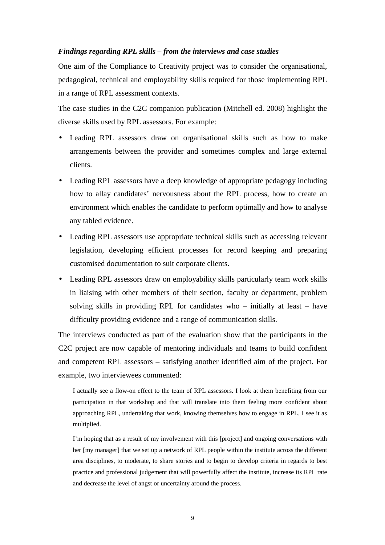# *Findings regarding RPL skills – from the interviews and case studies*

One aim of the Compliance to Creativity project was to consider the organisational, pedagogical, technical and employability skills required for those implementing RPL in a range of RPL assessment contexts.

The case studies in the C2C companion publication (Mitchell ed. 2008) highlight the diverse skills used by RPL assessors. For example:

- Leading RPL assessors draw on organisational skills such as how to make arrangements between the provider and sometimes complex and large external clients.
- Leading RPL assessors have a deep knowledge of appropriate pedagogy including how to allay candidates' nervousness about the RPL process, how to create an environment which enables the candidate to perform optimally and how to analyse any tabled evidence.
- Leading RPL assessors use appropriate technical skills such as accessing relevant legislation, developing efficient processes for record keeping and preparing customised documentation to suit corporate clients.
- Leading RPL assessors draw on employability skills particularly team work skills in liaising with other members of their section, faculty or department, problem solving skills in providing RPL for candidates who – initially at least – have difficulty providing evidence and a range of communication skills.

The interviews conducted as part of the evaluation show that the participants in the C2C project are now capable of mentoring individuals and teams to build confident and competent RPL assessors – satisfying another identified aim of the project. For example, two interviewees commented:

I actually see a flow-on effect to the team of RPL assessors. I look at them benefiting from our participation in that workshop and that will translate into them feeling more confident about approaching RPL, undertaking that work, knowing themselves how to engage in RPL. I see it as multiplied.

I'm hoping that as a result of my involvement with this [project] and ongoing conversations with her [my manager] that we set up a network of RPL people within the institute across the different area disciplines, to moderate, to share stories and to begin to develop criteria in regards to best practice and professional judgement that will powerfully affect the institute, increase its RPL rate and decrease the level of angst or uncertainty around the process.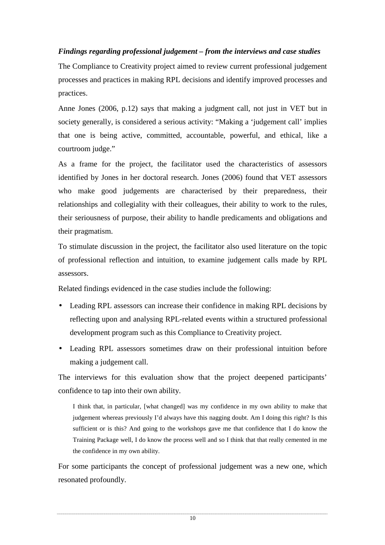# *Findings regarding professional judgement – from the interviews and case studies*

The Compliance to Creativity project aimed to review current professional judgement processes and practices in making RPL decisions and identify improved processes and practices.

Anne Jones (2006, p.12) says that making a judgment call, not just in VET but in society generally, is considered a serious activity: "Making a 'judgement call' implies that one is being active, committed, accountable, powerful, and ethical, like a courtroom judge."

As a frame for the project, the facilitator used the characteristics of assessors identified by Jones in her doctoral research. Jones (2006) found that VET assessors who make good judgements are characterised by their preparedness, their relationships and collegiality with their colleagues, their ability to work to the rules, their seriousness of purpose, their ability to handle predicaments and obligations and their pragmatism.

To stimulate discussion in the project, the facilitator also used literature on the topic of professional reflection and intuition, to examine judgement calls made by RPL assessors.

Related findings evidenced in the case studies include the following:

- Leading RPL assessors can increase their confidence in making RPL decisions by reflecting upon and analysing RPL-related events within a structured professional development program such as this Compliance to Creativity project.
- Leading RPL assessors sometimes draw on their professional intuition before making a judgement call.

The interviews for this evaluation show that the project deepened participants' confidence to tap into their own ability.

I think that, in particular, [what changed] was my confidence in my own ability to make that judgement whereas previously I'd always have this nagging doubt. Am I doing this right? Is this sufficient or is this? And going to the workshops gave me that confidence that I do know the Training Package well, I do know the process well and so I think that that really cemented in me the confidence in my own ability.

For some participants the concept of professional judgement was a new one, which resonated profoundly.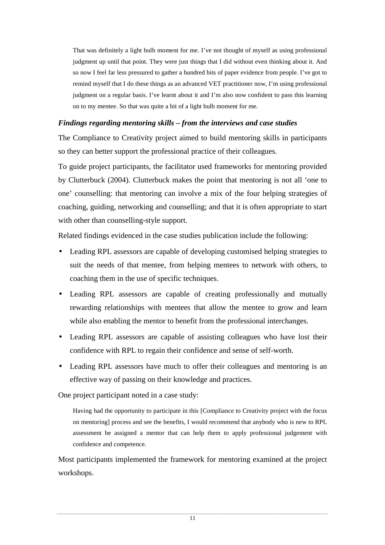That was definitely a light bulb moment for me. I've not thought of myself as using professional judgment up until that point. They were just things that I did without even thinking about it. And so now I feel far less pressured to gather a hundred bits of paper evidence from people. I've got to remind myself that I do these things as an advanced VET practitioner now, I'm using professional judgment on a regular basis. I've learnt about it and I'm also now confident to pass this learning on to my mentee. So that was quite a bit of a light bulb moment for me.

## *Findings regarding mentoring skills – from the interviews and case studies*

The Compliance to Creativity project aimed to build mentoring skills in participants so they can better support the professional practice of their colleagues.

To guide project participants, the facilitator used frameworks for mentoring provided by Clutterbuck (2004). Clutterbuck makes the point that mentoring is not all 'one to one' counselling: that mentoring can involve a mix of the four helping strategies of coaching, guiding, networking and counselling; and that it is often appropriate to start with other than counselling-style support.

Related findings evidenced in the case studies publication include the following:

- Leading RPL assessors are capable of developing customised helping strategies to suit the needs of that mentee, from helping mentees to network with others, to coaching them in the use of specific techniques.
- Leading RPL assessors are capable of creating professionally and mutually rewarding relationships with mentees that allow the mentee to grow and learn while also enabling the mentor to benefit from the professional interchanges.
- Leading RPL assessors are capable of assisting colleagues who have lost their confidence with RPL to regain their confidence and sense of self-worth.
- Leading RPL assessors have much to offer their colleagues and mentoring is an effective way of passing on their knowledge and practices.

One project participant noted in a case study:

Having had the opportunity to participate in this [Compliance to Creativity project with the focus on mentoring] process and see the benefits, I would recommend that anybody who is new to RPL assessment be assigned a mentor that can help them to apply professional judgement with confidence and competence.

Most participants implemented the framework for mentoring examined at the project workshops.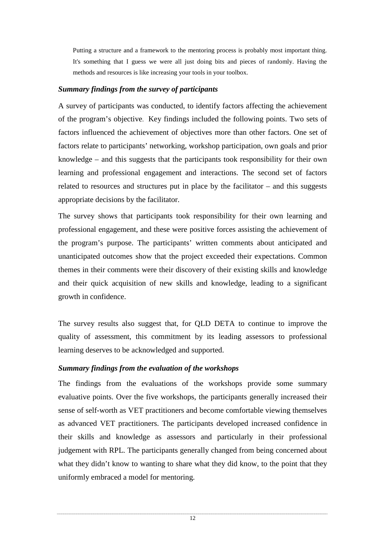Putting a structure and a framework to the mentoring process is probably most important thing. It's something that I guess we were all just doing bits and pieces of randomly. Having the methods and resources is like increasing your tools in your toolbox.

# *Summary findings from the survey of participants*

A survey of participants was conducted, to identify factors affecting the achievement of the program's objective. Key findings included the following points. Two sets of factors influenced the achievement of objectives more than other factors. One set of factors relate to participants' networking, workshop participation, own goals and prior knowledge – and this suggests that the participants took responsibility for their own learning and professional engagement and interactions. The second set of factors related to resources and structures put in place by the facilitator – and this suggests appropriate decisions by the facilitator.

The survey shows that participants took responsibility for their own learning and professional engagement, and these were positive forces assisting the achievement of the program's purpose. The participants' written comments about anticipated and unanticipated outcomes show that the project exceeded their expectations. Common themes in their comments were their discovery of their existing skills and knowledge and their quick acquisition of new skills and knowledge, leading to a significant growth in confidence.

The survey results also suggest that, for QLD DETA to continue to improve the quality of assessment, this commitment by its leading assessors to professional learning deserves to be acknowledged and supported.

# *Summary findings from the evaluation of the workshops*

The findings from the evaluations of the workshops provide some summary evaluative points. Over the five workshops, the participants generally increased their sense of self-worth as VET practitioners and become comfortable viewing themselves as advanced VET practitioners. The participants developed increased confidence in their skills and knowledge as assessors and particularly in their professional judgement with RPL. The participants generally changed from being concerned about what they didn't know to wanting to share what they did know, to the point that they uniformly embraced a model for mentoring.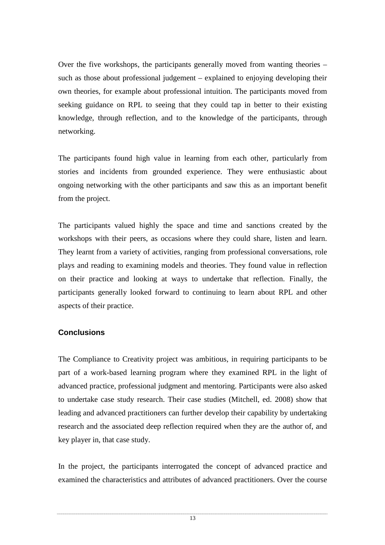Over the five workshops, the participants generally moved from wanting theories – such as those about professional judgement – explained to enjoying developing their own theories, for example about professional intuition. The participants moved from seeking guidance on RPL to seeing that they could tap in better to their existing knowledge, through reflection, and to the knowledge of the participants, through networking.

The participants found high value in learning from each other, particularly from stories and incidents from grounded experience. They were enthusiastic about ongoing networking with the other participants and saw this as an important benefit from the project.

The participants valued highly the space and time and sanctions created by the workshops with their peers, as occasions where they could share, listen and learn. They learnt from a variety of activities, ranging from professional conversations, role plays and reading to examining models and theories. They found value in reflection on their practice and looking at ways to undertake that reflection. Finally, the participants generally looked forward to continuing to learn about RPL and other aspects of their practice.

# **Conclusions**

The Compliance to Creativity project was ambitious, in requiring participants to be part of a work-based learning program where they examined RPL in the light of advanced practice, professional judgment and mentoring. Participants were also asked to undertake case study research. Their case studies (Mitchell, ed. 2008) show that leading and advanced practitioners can further develop their capability by undertaking research and the associated deep reflection required when they are the author of, and key player in, that case study.

In the project, the participants interrogated the concept of advanced practice and examined the characteristics and attributes of advanced practitioners. Over the course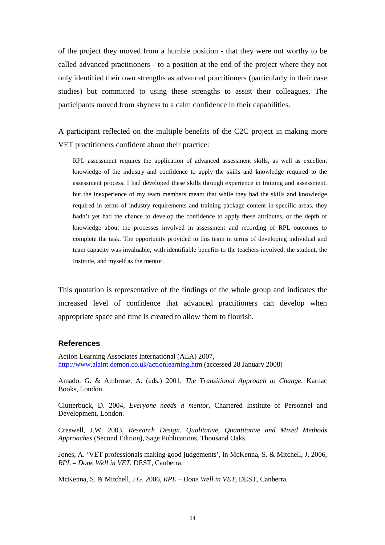of the project they moved from a humble position - that they were not worthy to be called advanced practitioners - to a position at the end of the project where they not only identified their own strengths as advanced practitioners (particularly in their case studies) but committed to using these strengths to assist their colleagues. The participants moved from shyness to a calm confidence in their capabilities.

A participant reflected on the multiple benefits of the C2C project in making more VET practitioners confident about their practice:

RPL assessment requires the application of advanced assessment skills, as well as excellent knowledge of the industry and confidence to apply the skills and knowledge required to the assessment process. I had developed these skills through experience in training and assessment, but the inexperience of my team members meant that while they had the skills and knowledge required in terms of industry requirements and training package content in specific areas, they hadn't yet had the chance to develop the confidence to apply these attributes, or the depth of knowledge about the processes involved in assessment and recording of RPL outcomes to complete the task. The opportunity provided to this team in terms of developing individual and team capacity was invaluable, with identifiable benefits to the teachers involved, the student, the Institute, and myself as the mentor.

This quotation is representative of the findings of the whole group and indicates the increased level of confidence that advanced practitioners can develop when appropriate space and time is created to allow them to flourish.

# **References**

Action Learning Associates International (ALA) 2007, http://www.alaint.demon.co.uk/actionlearning.htm (accessed 28 January 2008)

Amado, G. & Ambrose, A. (eds.) 2001, *The Transitional Approach to Change*, Karnac Books, London.

Clutterbuck, D. 2004, *Everyone needs a mentor*, Chartered Institute of Personnel and Development, London.

Creswell, J.W. 2003, *Research Design. Qualitative, Quantitative and Mixed Methods Approaches* (Second Edition), Sage Publications, Thousand Oaks.

Jones, A. 'VET professionals making good judgements', in McKenna, S. & Mitchell, J. 2006, *RPL – Done Well in VET*, DEST, Canberra.

McKenna, S. & Mitchell, J.G. 2006, *RPL – Done Well in VET*, DEST, Canberra.